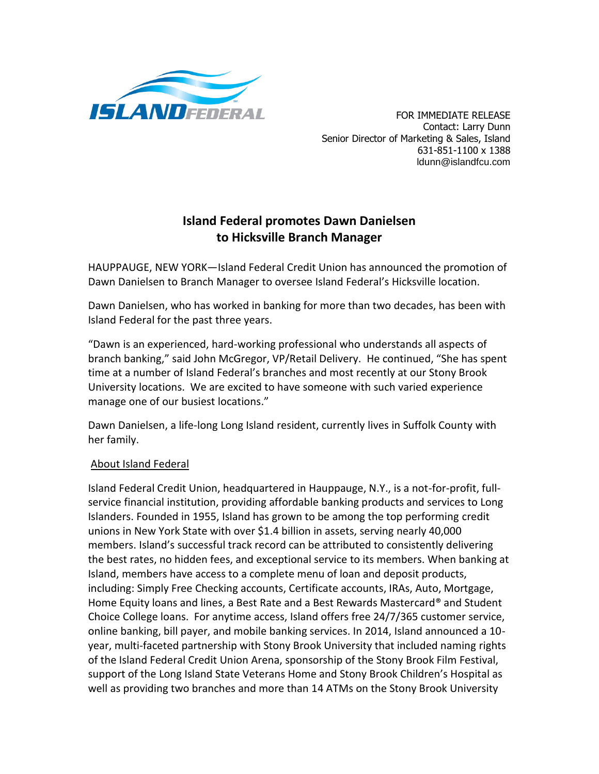

Contact: Larry Dunn Senior Director of Marketing & Sales, Island 631-851-1100 x 1388 ldunn@islandfcu.com

## **Island Federal promotes Dawn Danielsen to Hicksville Branch Manager**

HAUPPAUGE, NEW YORK—Island Federal Credit Union has announced the promotion of Dawn Danielsen to Branch Manager to oversee Island Federal's Hicksville location.

Dawn Danielsen, who has worked in banking for more than two decades, has been with Island Federal for the past three years.

"Dawn is an experienced, hard-working professional who understands all aspects of branch banking," said John McGregor, VP/Retail Delivery. He continued, "She has spent time at a number of Island Federal's branches and most recently at our Stony Brook University locations. We are excited to have someone with such varied experience manage one of our busiest locations."

Dawn Danielsen, a life-long Long Island resident, currently lives in Suffolk County with her family.

## About Island Federal

Island Federal Credit Union, headquartered in Hauppauge, N.Y., is a not-for-profit, fullservice financial institution, providing affordable banking products and services to Long Islanders. Founded in 1955, Island has grown to be among the top performing credit unions in New York State with over \$1.4 billion in assets, serving nearly 40,000 members. Island's successful track record can be attributed to consistently delivering the best rates, no hidden fees, and exceptional service to its members. When banking at Island, members have access to a complete menu of loan and deposit products, including: Simply Free Checking accounts, Certificate accounts, IRAs, Auto, Mortgage, Home Equity loans and lines, a Best Rate and a Best Rewards Mastercard® and Student Choice College loans. For anytime access, Island offers free 24/7/365 customer service, online banking, bill payer, and mobile banking services. In 2014, Island announced a 10 year, multi-faceted partnership with Stony Brook University that included naming rights of the Island Federal Credit Union Arena, sponsorship of the Stony Brook Film Festival, support of the Long Island State Veterans Home and Stony Brook Children's Hospital as well as providing two branches and more than 14 ATMs on the Stony Brook University